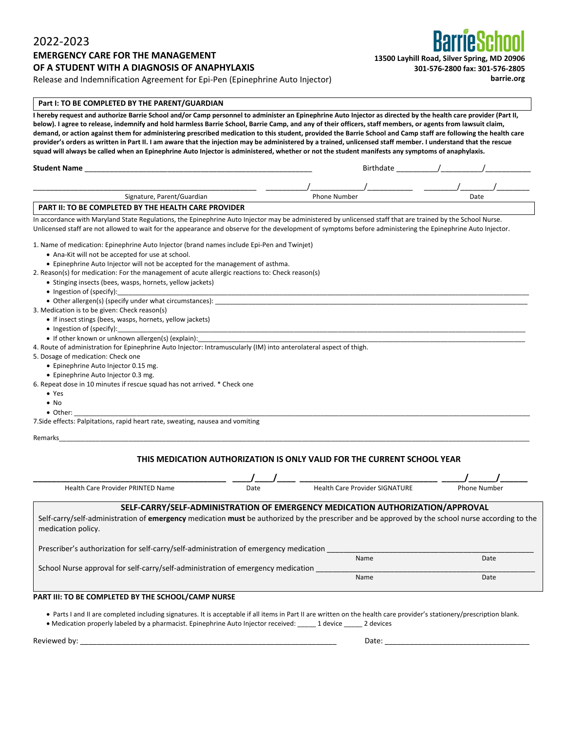### 2022-2023

### **EMERGENCY CARE FOR THE MANAGEMENT OF A STUDENT WITH A DIAGNOSIS OF ANAPHYLAXIS**

Release and Indemnification Agreement for Epi-Pen (Epinephrine Auto Injector)

#### **Part I: TO BE COMPLETED BY THE PARENT/GUARDIAN**

I hereby request and authorize Barrie School and/or Camp personnel to administer an Epinephrine Auto Injector as directed by the health care provider (Part II, below). I agree to release, indemnify and hold harmless Barrie School, Barrie Camp, and any of their officers, staff members, or agents from lawsuit claim, demand, or action against them for administering prescribed medication to this student, provided the Barrie School and Camp staff are following the health care provider's orders as written in Part II. I am aware that the injection may be administered by a trained, unlicensed staff member. I understand that the rescue **squad will always be called when an Epinephrine Auto Injector is administered, whether or not the student manifests any symptoms of anaphylaxis.** 

| <b>Stud</b> | вıп |  |
|-------------|-----|--|
| .           | п   |  |

# \_\_\_\_\_\_\_\_\_\_\_\_\_\_\_\_\_\_\_\_\_\_\_\_\_\_\_\_\_\_\_\_\_\_\_\_\_\_\_\_\_\_\_\_\_\_\_\_\_\_\_\_\_\_ \_\_\_\_\_\_\_\_\_\_/\_\_\_\_\_\_\_\_\_\_\_\_\_/\_\_\_\_\_\_\_\_\_\_\_ \_\_\_\_\_\_\_\_/\_\_\_\_\_\_\_\_/\_\_\_\_\_\_\_\_ **Signature, Parent/Guardian American Phone Number Phone Number Date Date**

#### **PART II: TO BE COMPLETED BY THE HEALTH CARE PROVIDER**

In accordance with Maryland State Regulations, the Epinephrine Auto Injector may be administered by unlicensed staff that are trained by the School Nurse. Unlicensed staff are not allowed to wait for the appearance and observe for the development of symptoms before administering the Epinephrine Auto Injector.

1. Name of medication: Epinephrine Auto Injector (brand names include Epi-Pen and Twinjet)

- Ana-Kit will not be accepted for use at school.
- Epinephrine Auto Injector will not be accepted for the management of asthma.
- 2. Reason(s) for medication: For the management of acute allergic reactions to: Check reason(s)
	- Stinging insects (bees, wasps, hornets, yellow jackets)
	- Ingestion of (specify):
	- Other allergen(s) (specify under what circumstances):
- 3. Medication is to be given: Check reason(s)
	- If insect stings (bees, wasps, hornets, yellow jackets)
	- Ingestion of (specify):
	- If other known or unknown allergen(s) (explain):

4. Route of administration for Epinephrine Auto Injector: Intramuscularly (IM) into anterolateral aspect of thigh.

- 5. Dosage of medication: Check one
	- Epinephrine Auto Injector 0.15 mg.
	- Epinephrine Auto Injector 0.3 mg.
- 6. Repeat dose in 10 minutes if rescue squad has not arrived. \* Check one
	- Yes
	- No
	- Other: \_\_\_\_\_\_\_\_\_\_\_\_\_\_\_\_\_\_\_\_\_\_\_\_\_\_\_\_\_\_\_\_\_\_\_\_\_\_\_\_\_\_\_\_\_\_\_\_\_\_\_\_\_\_\_\_\_\_\_\_\_\_\_\_\_\_\_\_\_\_\_\_\_\_\_\_\_\_\_\_\_\_\_\_\_\_\_\_\_\_\_\_\_\_\_\_\_\_\_\_\_\_\_\_\_\_\_\_\_\_\_\_\_\_\_\_\_\_\_\_\_\_\_\_

7.Side effects: Palpitations, rapid heart rate, sweating, nausea and vomiting

Remarks\_\_\_\_\_\_\_\_\_\_\_\_\_\_\_\_\_\_\_\_\_\_\_\_\_\_\_\_\_\_\_\_\_\_\_\_\_\_\_\_\_\_\_\_\_\_\_\_\_\_\_\_\_\_\_\_\_\_\_\_\_\_\_\_\_\_\_\_\_\_\_\_\_\_\_\_\_\_\_\_\_\_\_\_\_\_\_\_\_\_\_\_\_\_\_\_\_\_\_\_\_\_\_\_\_\_\_\_\_\_\_\_\_\_\_\_\_\_\_\_\_\_\_\_\_\_\_\_

### **THIS MEDICATION AUTHORIZATION IS ONLY VALID FOR THE CURRENT SCHOOL YEAR**

| <b>Health Care Provider PRINTED Name</b>                                                                                                                                      | Date | <b>Health Care Provider SIGNATURE</b> | <b>Phone Number</b> |  |
|-------------------------------------------------------------------------------------------------------------------------------------------------------------------------------|------|---------------------------------------|---------------------|--|
| SELF-CARRY/SELF-ADMINISTRATION OF EMERGENCY MEDICATION AUTHORIZATION/APPROVAL                                                                                                 |      |                                       |                     |  |
| Self-carry/self-administration of <b>emergency</b> medication must be authorized by the prescriber and be approved by the school nurse according to the<br>medication policy. |      |                                       |                     |  |
| Prescriber's authorization for self-carry/self-administration of emergency medication                                                                                         |      |                                       |                     |  |
|                                                                                                                                                                               |      | Name                                  | Date                |  |
| School Nurse approval for self-carry/self-administration of emergency medication                                                                                              |      |                                       |                     |  |
|                                                                                                                                                                               |      | Name                                  | Date                |  |
|                                                                                                                                                                               |      |                                       |                     |  |
| PART III: TO BE COMPLETED BY THE SCHOOL/CAMP NURSE                                                                                                                            |      |                                       |                     |  |
|                                                                                                                                                                               |      |                                       |                     |  |

• Parts I and II are completed including signatures. It is acceptable if all items in Part II are written on the health care provider's stationery/prescription blank. • Medication properly labeled by a pharmacist. Epinephrine Auto Injector received: \_\_\_\_\_ 1 device \_\_\_\_\_ 2 devices

Reviewed by: \_\_\_\_\_\_\_\_\_\_\_\_\_\_\_\_\_\_\_\_\_\_\_\_\_\_\_\_\_\_\_\_\_\_\_\_\_\_\_\_\_\_\_\_\_\_\_\_\_\_\_\_\_\_\_\_\_\_\_\_\_\_ Date: \_\_\_\_\_\_\_\_\_\_\_\_\_\_\_\_\_\_\_\_\_\_\_\_\_\_\_\_\_\_\_\_\_\_\_



**barrie.org**